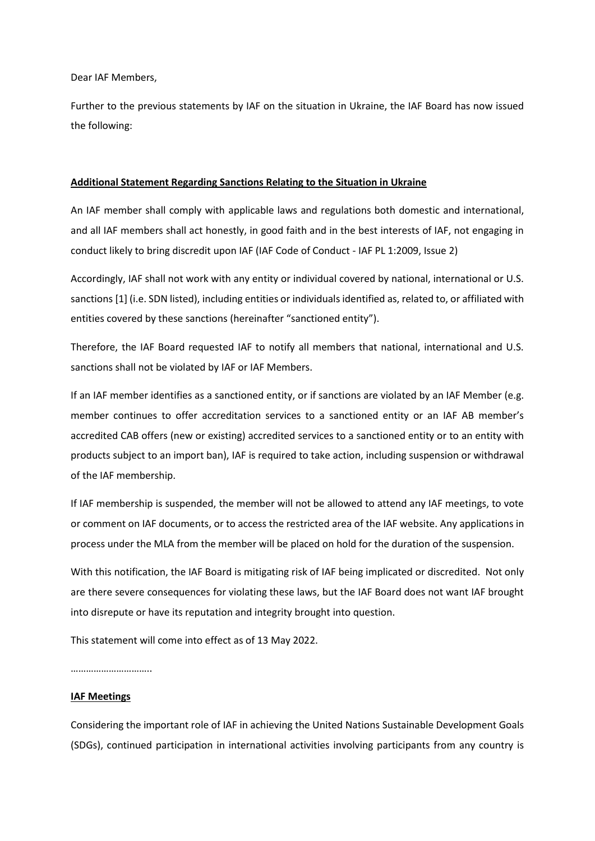Dear IAF Members,

Further to the previous statements by IAF on the situation in Ukraine, the IAF Board has now issued the following:

## **Additional Statement Regarding Sanctions Relating to the Situation in Ukraine**

An IAF member shall comply with applicable laws and regulations both domestic and international, and all IAF members shall act honestly, in good faith and in the best interests of IAF, not engaging in conduct likely to bring discredit upon IAF (IAF Code of Conduct - IAF PL 1:2009, Issue 2)

Accordingly, IAF shall not work with any entity or individual covered by national, international or U.S. sanctions [1] (i.e. SDN listed), including entities or individuals identified as, related to, or affiliated with entities covered by these sanctions (hereinafter "sanctioned entity").

Therefore, the IAF Board requested IAF to notify all members that national, international and U.S. sanctions shall not be violated by IAF or IAF Members.

If an IAF member identifies as a sanctioned entity, or if sanctions are violated by an IAF Member (e.g. member continues to offer accreditation services to a sanctioned entity or an IAF AB member's accredited CAB offers (new or existing) accredited services to a sanctioned entity or to an entity with products subject to an import ban), IAF is required to take action, including suspension or withdrawal of the IAF membership.

If IAF membership is suspended, the member will not be allowed to attend any IAF meetings, to vote or comment on IAF documents, or to access the restricted area of the IAF website. Any applications in process under the MLA from the member will be placed on hold for the duration of the suspension.

With this notification, the IAF Board is mitigating risk of IAF being implicated or discredited. Not only are there severe consequences for violating these laws, but the IAF Board does not want IAF brought into disrepute or have its reputation and integrity brought into question.

This statement will come into effect as of 13 May 2022.

……………………………

## **IAF Meetings**

Considering the important role of IAF in achieving the United Nations Sustainable Development Goals (SDGs), continued participation in international activities involving participants from any country is